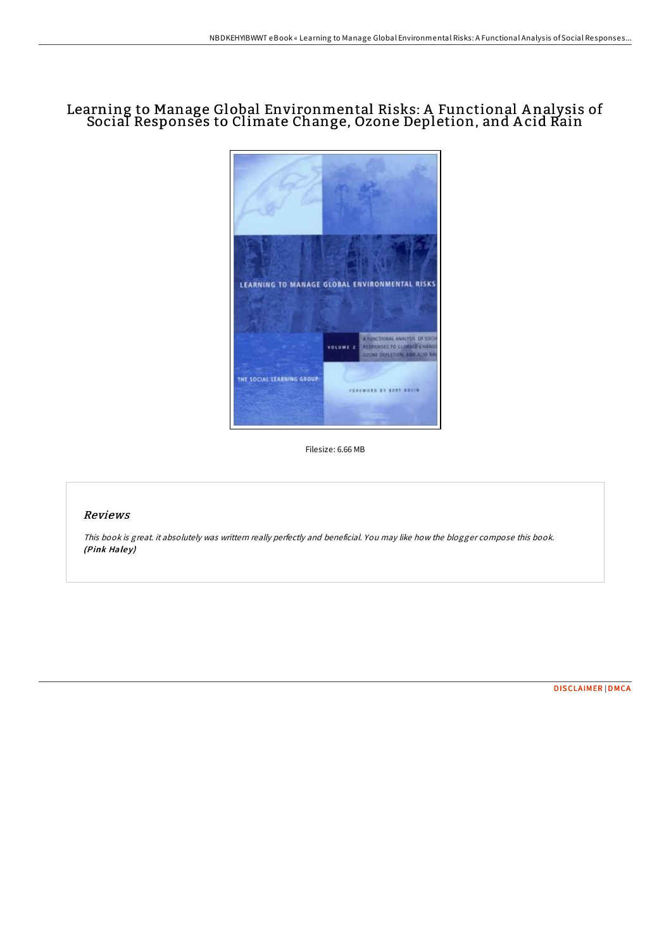## Learning to Manage Global Environmental Risks: A Functional A nalysis of Social Responses to Climate Change, Ozone Depletion, and A cid Rain



Filesize: 6.66 MB

## Reviews

This book is great. it absolutely was writtern really perfectly and beneficial. You may like how the blogger compose this book. (Pink Haley)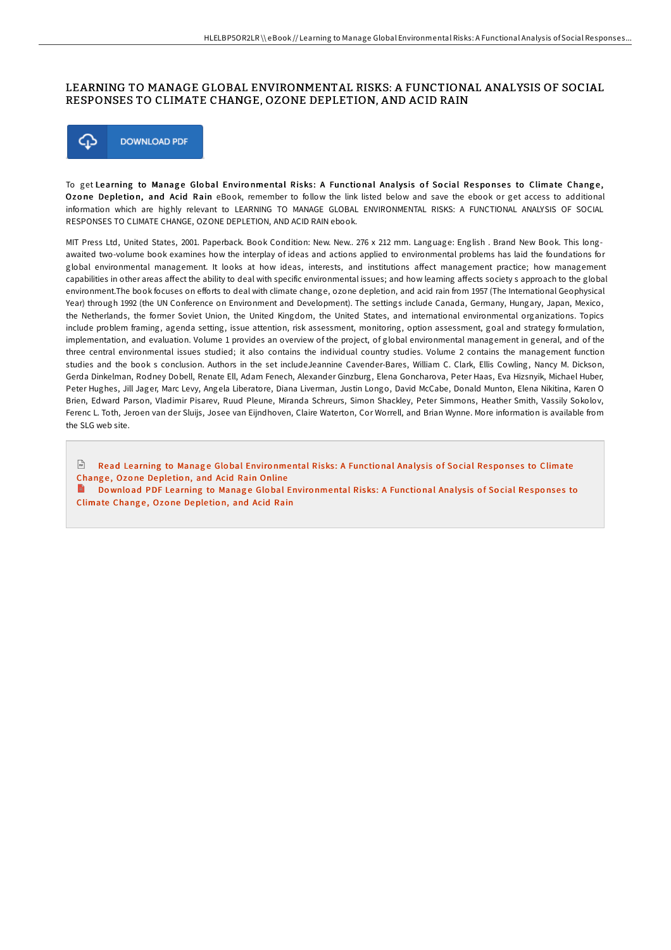## LEARNING TO MANAGE GLOBAL ENVIRONMENTAL RISKS: A FUNCTIONAL ANALYSIS OF SOCIAL RESPONSES TO CLIMATE CHANGE, OZONE DEPLETION, AND ACID RAIN



To get Learning to Manage Global Environmental Risks: A Functional Analysis of Social Responses to Climate Change, Ozone Depletion, and Acid Rain eBook, remember to follow the link listed below and save the ebook or get access to additional information which are highly relevant to LEARNING TO MANAGE GLOBAL ENVIRONMENTAL RISKS: A FUNCTIONAL ANALYSIS OF SOCIAL RESPONSES TO CLIMATE CHANGE, OZONE DEPLETION, AND ACID RAIN ebook.

MIT Press Ltd, United States, 2001. Paperback. Book Condition: New. New.. 276 x 212 mm. Language: English . Brand New Book. This longawaited two-volume book examines how the interplay of ideas and actions applied to environmental problems has laid the foundations for global environmental management. It looks at how ideas, interests, and institutions affect management practice; how management capabilities in other areas affect the ability to deal with specific environmental issues; and how learning affects society s approach to the global environment. The book focuses on efforts to deal with climate change, ozone depletion, and acid rain from 1957 (The International Geophysical Year) through 1992 (the UN Conference on Environment and Development). The settings include Canada, Germany, Hungary, Japan, Mexico, the Netherlands, the former Soviet Union, the United Kingdom, the United States, and international environmental organizations. Topics include problem framing, agenda setting, issue attention, risk assessment, monitoring, option assessment, goal and strategy formulation, implementation, and evaluation. Volume 1 provides an overview of the project, of global environmental management in general, and of the three central environmental issues studied; it also contains the individual country studies. Volume 2 contains the management function studies and the book s conclusion. Authors in the set includeJeannine Cavender-Bares, William C. Clark, Ellis Cowling, Nancy M. Dickson, Gerda Dinkelman, Rodney Dobell, Renate Ell, Adam Fenech, Alexander Ginzburg, Elena Goncharova, Peter Haas, Eva Hizsnyik, Michael Huber, Peter Hughes, Jill Jager, Marc Levy, Angela Liberatore, Diana Liverman, Justin Longo, David McCabe, Donald Munton, Elena Nikitina, Karen O Brien, Edward Parson, Vladimir Pisarev, Ruud Pleune, Miranda Schreurs, Simon Shackley, Peter Simmons, Heather Smith, Vassily Sokolov, Ferenc L. Toth, Jeroen van der Sluijs, Josee van Eijndhoven, Claire Waterton, Cor Worrell, and Brian Wynne. More information is available from the SLG web site.

 $\sqrt{\frac{1}{n+1}}$ Read Learning to Manage Global Environmental Risks: A Functional Analysis of Social Responses to Climate Change, Ozone Depletion, and Acid Rain Online

Download PDF Learning to Manage Global Environmental Risks: A Functional Analysis of Social Responses to Climate Change, Ozone Depletion, and Acid Rain